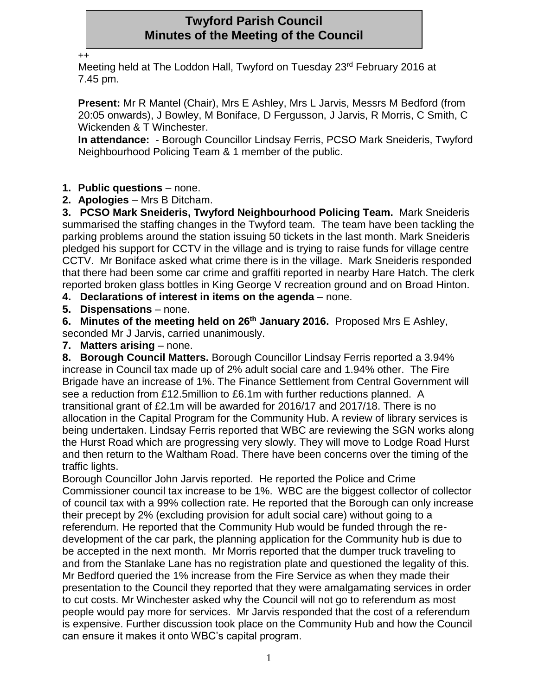# **Twyford Parish Council Minutes of the Meeting of the Council**

++

Meeting held at The Loddon Hall, Twyford on Tuesday 23<sup>rd</sup> February 2016 at 7.45 pm.

**Present:** Mr R Mantel (Chair), Mrs E Ashley, Mrs L Jarvis, Messrs M Bedford (from 20:05 onwards), J Bowley, M Boniface, D Fergusson, J Jarvis, R Morris, C Smith, C Wickenden & T Winchester.

**In attendance:** - Borough Councillor Lindsay Ferris, PCSO Mark Sneideris, Twyford Neighbourhood Policing Team & 1 member of the public.

## **1. Public questions** – none.

**2. Apologies** – Mrs B Ditcham.

**3. PCSO Mark Sneideris, Twyford Neighbourhood Policing Team.** Mark Sneideris summarised the staffing changes in the Twyford team. The team have been tackling the parking problems around the station issuing 50 tickets in the last month. Mark Sneideris pledged his support for CCTV in the village and is trying to raise funds for village centre CCTV. Mr Boniface asked what crime there is in the village. Mark Sneideris responded that there had been some car crime and graffiti reported in nearby Hare Hatch. The clerk reported broken glass bottles in King George V recreation ground and on Broad Hinton.

**4. Declarations of interest in items on the agenda** – none.

**5. Dispensations** – none.

**6. Minutes of the meeting held on 26th January 2016.** Proposed Mrs E Ashley, seconded Mr J Jarvis, carried unanimously.

**7. Matters arising** – none.

**8. Borough Council Matters.** Borough Councillor Lindsay Ferris reported a 3.94% increase in Council tax made up of 2% adult social care and 1.94% other. The Fire Brigade have an increase of 1%. The Finance Settlement from Central Government will see a reduction from £12.5million to £6.1m with further reductions planned. A transitional grant of £2.1m will be awarded for 2016/17 and 2017/18. There is no allocation in the Capital Program for the Community Hub. A review of library services is being undertaken. Lindsay Ferris reported that WBC are reviewing the SGN works along the Hurst Road which are progressing very slowly. They will move to Lodge Road Hurst and then return to the Waltham Road. There have been concerns over the timing of the traffic lights.

Borough Councillor John Jarvis reported. He reported the Police and Crime Commissioner council tax increase to be 1%. WBC are the biggest collector of collector of council tax with a 99% collection rate. He reported that the Borough can only increase their precept by 2% (excluding provision for adult social care) without going to a referendum. He reported that the Community Hub would be funded through the redevelopment of the car park, the planning application for the Community hub is due to be accepted in the next month. Mr Morris reported that the dumper truck traveling to and from the Stanlake Lane has no registration plate and questioned the legality of this. Mr Bedford queried the 1% increase from the Fire Service as when they made their presentation to the Council they reported that they were amalgamating services in order to cut costs. Mr Winchester asked why the Council will not go to referendum as most people would pay more for services. Mr Jarvis responded that the cost of a referendum is expensive. Further discussion took place on the Community Hub and how the Council can ensure it makes it onto WBC's capital program.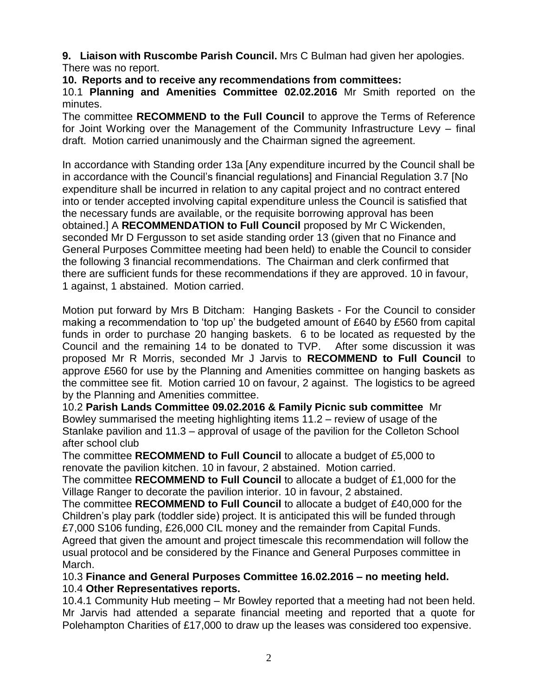**9. Liaison with Ruscombe Parish Council.** Mrs C Bulman had given her apologies. There was no report.

**10. Reports and to receive any recommendations from committees:**

10.1 **Planning and Amenities Committee 02.02.2016** Mr Smith reported on the minutes.

The committee **RECOMMEND to the Full Council** to approve the Terms of Reference for Joint Working over the Management of the Community Infrastructure Levy – final draft. Motion carried unanimously and the Chairman signed the agreement.

In accordance with Standing order 13a [Any expenditure incurred by the Council shall be in accordance with the Council's financial regulations] and Financial Regulation 3.7 [No expenditure shall be incurred in relation to any capital project and no contract entered into or tender accepted involving capital expenditure unless the Council is satisfied that the necessary funds are available, or the requisite borrowing approval has been obtained.] A **RECOMMENDATION to Full Council** proposed by Mr C Wickenden, seconded Mr D Fergusson to set aside standing order 13 (given that no Finance and General Purposes Committee meeting had been held) to enable the Council to consider the following 3 financial recommendations. The Chairman and clerk confirmed that there are sufficient funds for these recommendations if they are approved. 10 in favour, 1 against, 1 abstained. Motion carried.

Motion put forward by Mrs B Ditcham: Hanging Baskets - For the Council to consider making a recommendation to 'top up' the budgeted amount of £640 by £560 from capital funds in order to purchase 20 hanging baskets. 6 to be located as requested by the Council and the remaining 14 to be donated to TVP. After some discussion it was proposed Mr R Morris, seconded Mr J Jarvis to **RECOMMEND to Full Council** to approve £560 for use by the Planning and Amenities committee on hanging baskets as the committee see fit. Motion carried 10 on favour, 2 against. The logistics to be agreed by the Planning and Amenities committee.

10.2 **Parish Lands Committee 09.02.2016 & Family Picnic sub committee** Mr Bowley summarised the meeting highlighting items 11.2 – review of usage of the Stanlake pavilion and 11.3 – approval of usage of the pavilion for the Colleton School after school club

The committee **RECOMMEND to Full Council** to allocate a budget of £5,000 to renovate the pavilion kitchen. 10 in favour, 2 abstained. Motion carried.

The committee **RECOMMEND to Full Council** to allocate a budget of £1,000 for the Village Ranger to decorate the pavilion interior. 10 in favour, 2 abstained.

The committee **RECOMMEND to Full Council** to allocate a budget of £40,000 for the Children's play park (toddler side) project. It is anticipated this will be funded through £7,000 S106 funding, £26,000 CIL money and the remainder from Capital Funds. Agreed that given the amount and project timescale this recommendation will follow the usual protocol and be considered by the Finance and General Purposes committee in March.

10.3 **Finance and General Purposes Committee 16.02.2016 – no meeting held.** 10.4 **Other Representatives reports.**

10.4.1 Community Hub meeting – Mr Bowley reported that a meeting had not been held. Mr Jarvis had attended a separate financial meeting and reported that a quote for Polehampton Charities of £17,000 to draw up the leases was considered too expensive.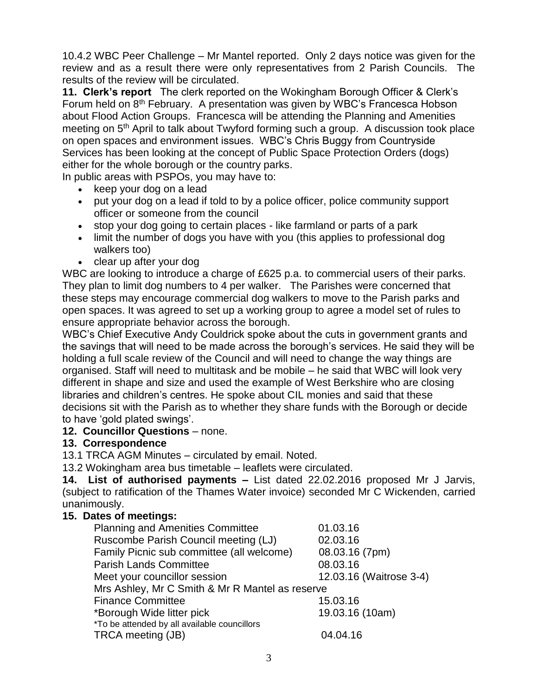10.4.2 WBC Peer Challenge – Mr Mantel reported. Only 2 days notice was given for the review and as a result there were only representatives from 2 Parish Councils. The results of the review will be circulated.

**11. Clerk's report** The clerk reported on the Wokingham Borough Officer & Clerk's Forum held on 8<sup>th</sup> February. A presentation was given by WBC's Francesca Hobson about Flood Action Groups. Francesca will be attending the Planning and Amenities meeting on 5<sup>th</sup> April to talk about Twyford forming such a group. A discussion took place on open spaces and environment issues. WBC's Chris Buggy from Countryside Services has been looking at the concept of Public Space Protection Orders (dogs) either for the whole borough or the country parks.

In public areas with PSPOs, you may have to:

- keep your dog on a lead
- put your dog on a lead if told to by a police officer, police community support officer or someone from the council
- stop your dog going to certain places like farmland or parts of a park
- limit the number of dogs you have with you (this applies to professional dog walkers too)
- clear up after your dog

WBC are looking to introduce a charge of £625 p.a. to commercial users of their parks. They plan to limit dog numbers to 4 per walker. The Parishes were concerned that these steps may encourage commercial dog walkers to move to the Parish parks and open spaces. It was agreed to set up a working group to agree a model set of rules to ensure appropriate behavior across the borough.

WBC's Chief Executive Andy Couldrick spoke about the cuts in government grants and the savings that will need to be made across the borough's services. He said they will be holding a full scale review of the Council and will need to change the way things are organised. Staff will need to multitask and be mobile – he said that WBC will look very different in shape and size and used the example of West Berkshire who are closing libraries and children's centres. He spoke about CIL monies and said that these decisions sit with the Parish as to whether they share funds with the Borough or decide to have 'gold plated swings'.

### **12. Councillor Questions** – none.

### **13. Correspondence**

13.1 TRCA AGM Minutes – circulated by email. Noted.

13.2 Wokingham area bus timetable – leaflets were circulated.

**14. List of authorised payments –** List dated 22.02.2016 proposed Mr J Jarvis, (subject to ratification of the Thames Water invoice) seconded Mr C Wickenden, carried unanimously.

### **15. Dates of meetings:**

| <b>Planning and Amenities Committee</b>         | 01.03.16                |
|-------------------------------------------------|-------------------------|
| Ruscombe Parish Council meeting (LJ)            | 02.03.16                |
| Family Picnic sub committee (all welcome)       | 08.03.16 (7pm)          |
| <b>Parish Lands Committee</b>                   | 08.03.16                |
| Meet your councillor session                    | 12.03.16 (Waitrose 3-4) |
| Mrs Ashley, Mr C Smith & Mr R Mantel as reserve |                         |
| <b>Finance Committee</b>                        | 15.03.16                |
| *Borough Wide litter pick                       | 19.03.16 (10am)         |
| *To be attended by all available councillors    |                         |
| TRCA meeting (JB)                               | 04.04.16                |
|                                                 |                         |